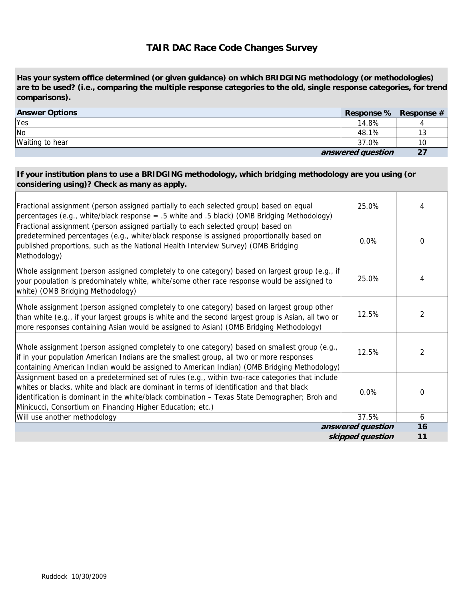## **TAIR DAC Race Code Changes Survey**

**Has your system office determined (or given guidance) on which BRIDGING methodology (or methodologies) are to be used? (i.e., comparing the multiple response categories to the old, single response categories, for trend comparisons).**

| <b>Answer Options</b> | Response % Response # |    |
|-----------------------|-----------------------|----|
| Yes                   | 14.8%                 |    |
| <b>No</b>             | 48.1%                 | 13 |
| Waiting to hear       | 37.0%                 | 10 |
|                       | answered question     | 27 |

## **If your institution plans to use a BRIDGING methodology, which bridging methodology are you using (or considering using)? Check as many as apply.**

| Fractional assignment (person assigned partially to each selected group) based on equal<br>percentages (e.g., white/black response = .5 white and .5 black) (OMB Bridging Methodology)                                                                                                                                                                     | 25.0%             | 4              |
|------------------------------------------------------------------------------------------------------------------------------------------------------------------------------------------------------------------------------------------------------------------------------------------------------------------------------------------------------------|-------------------|----------------|
| Fractional assignment (person assigned partially to each selected group) based on<br>predetermined percentages (e.g., white/black response is assigned proportionally based on<br>published proportions, such as the National Health Interview Survey) (OMB Bridging<br>Methodology)                                                                       | $0.0\%$           | $\Omega$       |
| Whole assignment (person assigned completely to one category) based on largest group (e.g., if<br>your population is predominately white, white/some other race response would be assigned to<br>white) (OMB Bridging Methodology)                                                                                                                         | 25.0%             | 4              |
| Whole assignment (person assigned completely to one category) based on largest group other<br>than white (e.g., if your largest groups is white and the second largest group is Asian, all two or<br>more responses containing Asian would be assigned to Asian) (OMB Bridging Methodology)                                                                | 12.5%             | $\overline{2}$ |
| Whole assignment (person assigned completely to one category) based on smallest group (e.g.,<br>if in your population American Indians are the smallest group, all two or more responses<br>containing American Indian would be assigned to American Indian) (OMB Bridging Methodology)                                                                    | 12.5%             | $\overline{2}$ |
| Assignment based on a predetermined set of rules (e.g., within two-race categories that include<br>whites or blacks, white and black are dominant in terms of identification and that black<br>identification is dominant in the white/black combination - Texas State Demographer; Broh and<br>Minicucci, Consortium on Financing Higher Education; etc.) | 0.0%              | 0              |
| Will use another methodology                                                                                                                                                                                                                                                                                                                               | 37.5%             | 6              |
|                                                                                                                                                                                                                                                                                                                                                            | answered question | 16             |
|                                                                                                                                                                                                                                                                                                                                                            | skipped question  | 11             |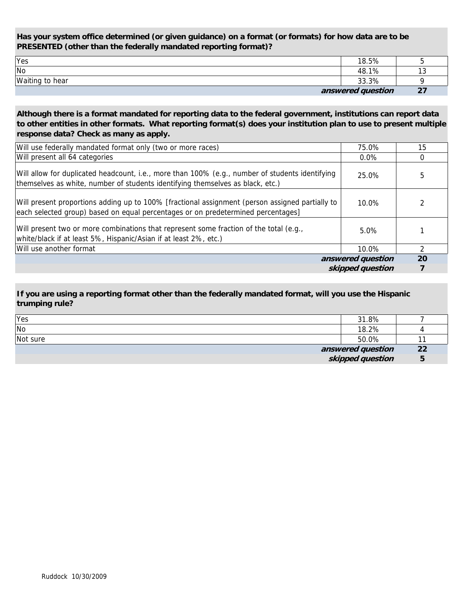**Has your system office determined (or given guidance) on a format (or formats) for how data are to be PRESENTED (other than the federally mandated reporting format)?** 

| <b>Yes</b>                  | 18.5%             |     |
|-----------------------------|-------------------|-----|
| $\overline{\phantom{a}}$ No | 48.1%             | ں ו |
| Waiting to hear             | 33.3%             |     |
|                             | answered question | 27  |

**Although there is a format mandated for reporting data to the federal government, institutions can report data to other entities in other formats. What reporting format(s) does your institution plan to use to present multiple response data? Check as many as apply.**

| Will use federally mandated format only (two or more races)                                                                                                                         | 75.0%             | 15 |
|-------------------------------------------------------------------------------------------------------------------------------------------------------------------------------------|-------------------|----|
| Will present all 64 categories                                                                                                                                                      | $0.0\%$           | 0  |
| Will allow for duplicated headcount, i.e., more than 100% (e.g., number of students identifying<br>themselves as white, number of students identifying themselves as black, etc.)   | 25.0%             | 5  |
| Will present proportions adding up to 100% [fractional assignment (person assigned partially to<br>each selected group) based on equal percentages or on predetermined percentages] | $10.0\%$          |    |
| Will present two or more combinations that represent some fraction of the total (e.g.,<br>white/black if at least 5%, Hispanic/Asian if at least 2%, etc.)                          | 5.0%              |    |
| Will use another format                                                                                                                                                             | 10.0%             | 2  |
|                                                                                                                                                                                     | answered question | 20 |
|                                                                                                                                                                                     | skipped question  |    |

**If you are using a reporting format other than the federally mandated format, will you use the Hispanic trumping rule?**

|          | skipped question  |    |
|----------|-------------------|----|
|          | answered question | 22 |
| Not sure | 50.0%             |    |
| No       | 18.2%             |    |
| Yes      | 31.8%             |    |